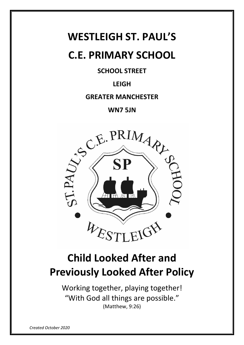## **WESTLEIGH ST. PAUL'S**

## **C.E. PRIMARY SCHOOL**

## **SCHOOL STREET**

## **LEIGH**

### **GREATER MANCHESTER**

## **WN7 5JN**



# **Child Looked After and Previously Looked After Policy**

Working together, playing together! "With God all things are possible." (Matthew, 9:26)

*Created October 2020*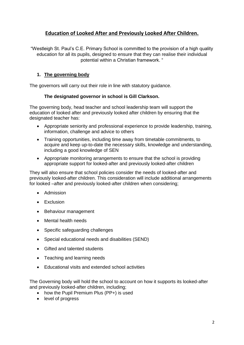#### **Education of Looked After and Previously Looked After Children.**

"Westleigh St. Paul's C.E. Primary School is committed to the provision of a high quality education for all its pupils, designed to ensure that they can realise their individual potential within a Christian framework. "

#### **1. The governing body**

The governors will carry out their role in line with statutory guidance.

#### **The designated governor in school is Gill Clarkson.**

The governing body, head teacher and school leadership team will support the education of looked after and previously looked after children by ensuring that the designated teacher has:

- Appropriate seniority and professional experience to provide leadership, training, information, challenge and advice to others
- Training opportunities, including time away from timetable commitments, to acquire and keep up-to-date the necessary skills, knowledge and understanding, including a good knowledge of SEN
- Appropriate monitoring arrangements to ensure that the school is providing appropriate support for looked-after and previously looked-after children

They will also ensure that school policies consider the needs of looked-after and previously looked-after children. This consideration will include additional arrangements for looked –after and previously looked-after children when considering;

- Admission
- Exclusion
- Behaviour management
- Mental health needs
- Specific safeguarding challenges
- Special educational needs and disabilities (SEND)
- Gifted and talented students
- Teaching and learning needs
- Educational visits and extended school activities

The Governing body will hold the school to account on how it supports its looked-after and previously looked-after children, including;

- how the Pupil Premium Plus (PP+) is used
- level of progress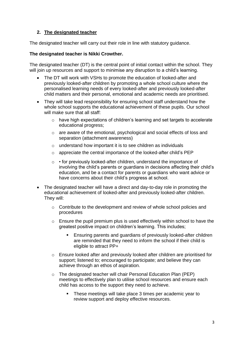#### **2. The designated teacher**

The designated teacher will carry out their role in line with statutory guidance.

#### **The designated teacher is Nikki Crowther.**

The designated teacher (DT) is the central point of initial contact within the school. They will join up resources and support to minimise any disruption to a child's learning.

- The DT will work with VSHs to promote the education of looked-after and previously looked-after children by promoting a whole school culture where the personalised learning needs of every looked-after and previously looked-after child matters and their personal, emotional and academic needs are prioritised.
- They will take lead responsibility for ensuring school staff understand how the whole school supports the educational achievement of these pupils. Our school will make sure that all staff:
	- o have high expectations of children's learning and set targets to accelerate educational progress;
	- o are aware of the emotional, psychological and social effects of loss and separation (attachment awareness)
	- o understand how important it is to see children as individuals
	- o appreciate the central importance of the looked-after child's PEP
	- $\circ \cdot$  for previously looked-after children, understand the importance of involving the child's parents or guardians in decisions affecting their child's education, and be a contact for parents or guardians who want advice or have concerns about their child's progress at school.
- The designated teacher will have a direct and day-to-day role in promoting the educational achievement of looked-after and previously looked-after children. They will:
	- $\circ$  Contribute to the development and review of whole school policies and procedures
	- o Ensure the pupil premium plus is used effectively within school to have the greatest positive impact on children's learning. This includes;
		- Ensuring parents and guardians of previously looked-after children are reminded that they need to inform the school if their child is eligible to attract PP+
	- o Ensure looked after and previously looked after children are prioritised for support; listened to; encouraged to participate; and believe they can achieve through an ethos of aspiration.
	- o The designated teacher will chair Personal Education Plan (PEP) meetings to effectively plan to utilise school resources and ensure each child has access to the support they need to achieve.
		- **These meetings will take place 3 times per academic year to** review support and deploy effective resources.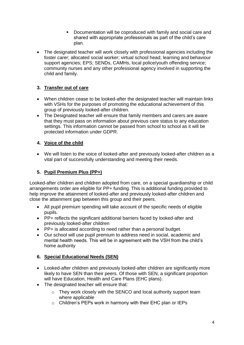- Documentation will be coproduced with family and social care and shared with appropriate professionals as part of the child's care plan.
- The designated teacher will work closely with professional agencies including the foster carer; allocated social worker; virtual school head; learning and behaviour support agencies; EPS; SENDs, CAMHs, local police/youth offending service; community nurses and any other professional agency involved in supporting the child and family.

#### **3. Transfer out of care**

- When children cease to be looked-after the designated teacher will maintain links with VSHs for the purposes of promoting the educational achievement of this group of previously looked-after children.
- The Designated teacher will ensure that family members and carers are aware that they must pass on information about previous care status to any education settings. This information cannot be passed from school to school as it will be protected information under GDPR.

#### **4. Voice of the child**

 We will listen to the voice of looked-after and previously looked-after children as a vital part of successfully understanding and meeting their needs.

#### **5. Pupil Premium Plus (PP+)**

Looked-after children and children adopted from care, on a special guardianship or child arrangements order are eligible for PP+ funding. This is additional funding provided to help improve the attainment of looked-after and previously looked-after children and close the attainment gap between this group and their peers.

- All pupil premium spending will take account of the specific needs of eligible pupils.
- PP+ reflects the significant additional barriers faced by looked-after and previously looked-after children
- PP+ is allocated according to need rather than a personal budget.
- Our school will use pupil premium to address need in social, academic and mental health needs. This will be in agreement with the VSH from the child's home authority

#### **6. Special Educational Needs (SEN)**

- Looked-after children and previously looked-after children are significantly more likely to have SEN than their peers. Of those with SEN, a significant proportion will have Education, Health and Care Plans (EHC plans).
- The designated teacher will ensure that:
	- o They work closely with the SENCO and local authority support team where applicable
	- o Children's PEPs work in harmony with their EHC plan or IEPs